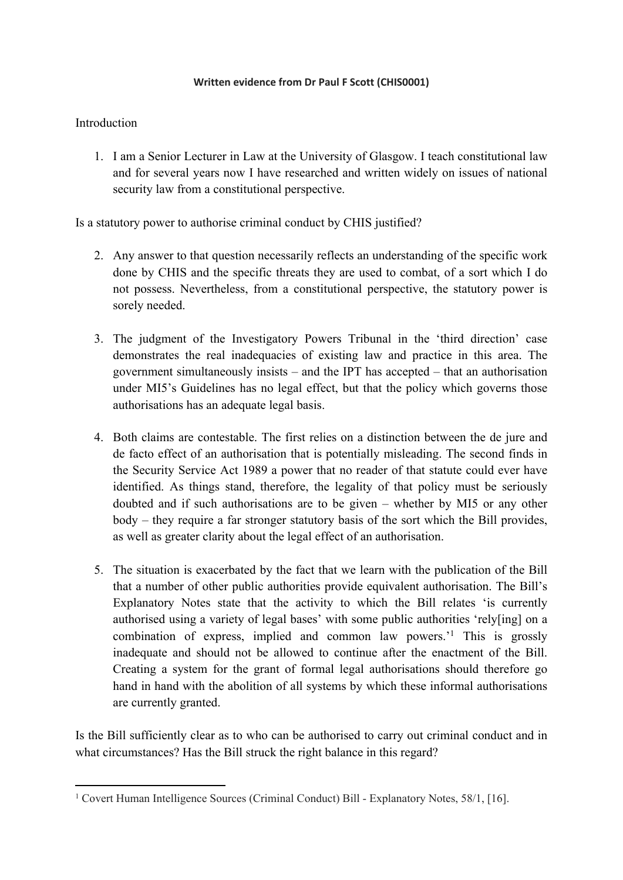## **Written evidence from Dr Paul F Scott (CHIS0001)**

## **Introduction**

1. I am a Senior Lecturer in Law at the University of Glasgow. I teach constitutional law and for several years now I have researched and written widely on issues of national security law from a constitutional perspective.

Is a statutory power to authorise criminal conduct by CHIS justified?

- 2. Any answer to that question necessarily reflects an understanding of the specific work done by CHIS and the specific threats they are used to combat, of a sort which I do not possess. Nevertheless, from a constitutional perspective, the statutory power is sorely needed.
- 3. The judgment of the Investigatory Powers Tribunal in the 'third direction' case demonstrates the real inadequacies of existing law and practice in this area. The government simultaneously insists – and the IPT has accepted – that an authorisation under MI5's Guidelines has no legal effect, but that the policy which governs those authorisations has an adequate legal basis.
- 4. Both claims are contestable. The first relies on a distinction between the de jure and de facto effect of an authorisation that is potentially misleading. The second finds in the Security Service Act 1989 a power that no reader of that statute could ever have identified. As things stand, therefore, the legality of that policy must be seriously doubted and if such authorisations are to be given – whether by MI5 or any other body – they require a far stronger statutory basis of the sort which the Bill provides, as well as greater clarity about the legal effect of an authorisation.
- 5. The situation is exacerbated by the fact that we learn with the publication of the Bill that a number of other public authorities provide equivalent authorisation. The Bill's Explanatory Notes state that the activity to which the Bill relates 'is currently authorised using a variety of legal bases' with some public authorities 'rely[ing] on a combination of express, implied and common law powers.'<sup>1</sup> This is grossly inadequate and should not be allowed to continue after the enactment of the Bill. Creating a system for the grant of formal legal authorisations should therefore go hand in hand with the abolition of all systems by which these informal authorisations are currently granted.

Is the Bill sufficiently clear as to who can be authorised to carry out criminal conduct and in what circumstances? Has the Bill struck the right balance in this regard?

<sup>1</sup> Covert Human Intelligence Sources (Criminal Conduct) Bill - Explanatory Notes, 58/1, [16].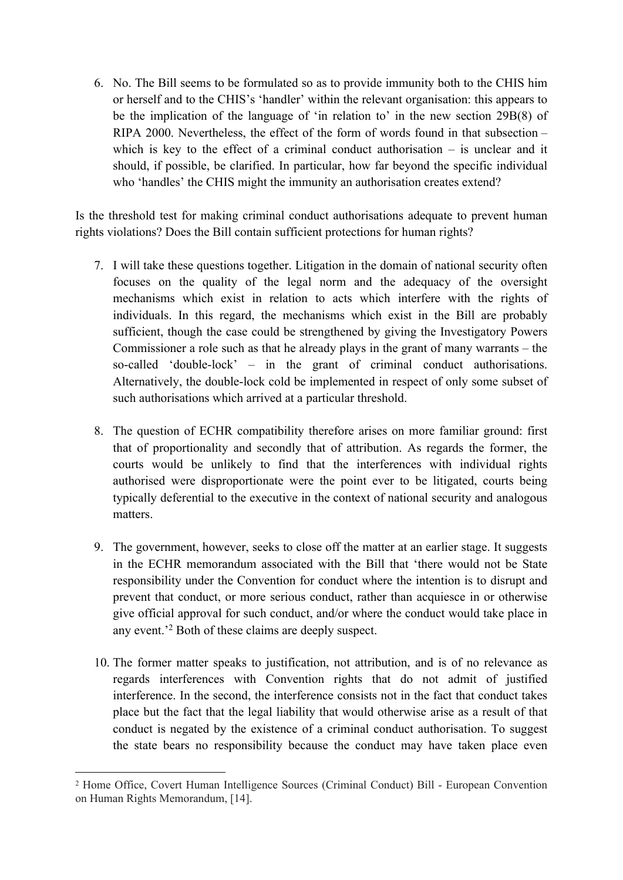6. No. The Bill seems to be formulated so as to provide immunity both to the CHIS him or herself and to the CHIS's 'handler' within the relevant organisation: this appears to be the implication of the language of 'in relation to' in the new section 29B(8) of RIPA 2000. Nevertheless, the effect of the form of words found in that subsection – which is key to the effect of a criminal conduct authorisation – is unclear and it should, if possible, be clarified. In particular, how far beyond the specific individual who 'handles' the CHIS might the immunity an authorisation creates extend?

Is the threshold test for making criminal conduct authorisations adequate to prevent human rights violations? Does the Bill contain sufficient protections for human rights?

- 7. I will take these questions together. Litigation in the domain of national security often focuses on the quality of the legal norm and the adequacy of the oversight mechanisms which exist in relation to acts which interfere with the rights of individuals. In this regard, the mechanisms which exist in the Bill are probably sufficient, though the case could be strengthened by giving the Investigatory Powers Commissioner a role such as that he already plays in the grant of many warrants – the so-called 'double-lock' – in the grant of criminal conduct authorisations. Alternatively, the double-lock cold be implemented in respect of only some subset of such authorisations which arrived at a particular threshold.
- 8. The question of ECHR compatibility therefore arises on more familiar ground: first that of proportionality and secondly that of attribution. As regards the former, the courts would be unlikely to find that the interferences with individual rights authorised were disproportionate were the point ever to be litigated, courts being typically deferential to the executive in the context of national security and analogous matters.
- 9. The government, however, seeks to close off the matter at an earlier stage. It suggests in the ECHR memorandum associated with the Bill that 'there would not be State responsibility under the Convention for conduct where the intention is to disrupt and prevent that conduct, or more serious conduct, rather than acquiesce in or otherwise give official approval for such conduct, and/or where the conduct would take place in any event.'<sup>2</sup> Both of these claims are deeply suspect.
- 10. The former matter speaks to justification, not attribution, and is of no relevance as regards interferences with Convention rights that do not admit of justified interference. In the second, the interference consists not in the fact that conduct takes place but the fact that the legal liability that would otherwise arise as a result of that conduct is negated by the existence of a criminal conduct authorisation. To suggest the state bears no responsibility because the conduct may have taken place even

<sup>2</sup> Home Office, Covert Human Intelligence Sources (Criminal Conduct) Bill - European Convention on Human Rights Memorandum, [14].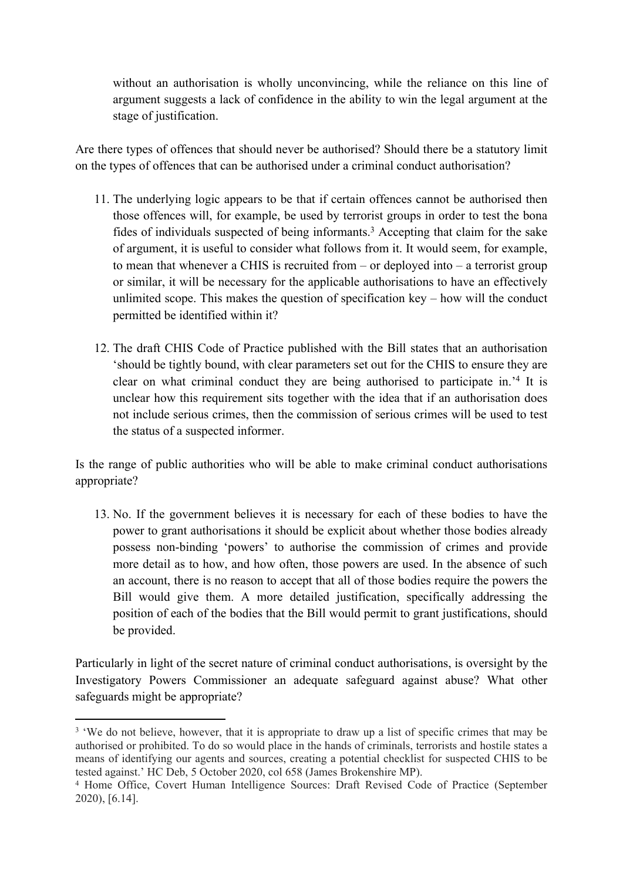without an authorisation is wholly unconvincing, while the reliance on this line of argument suggests a lack of confidence in the ability to win the legal argument at the stage of justification.

Are there types of offences that should never be authorised? Should there be a statutory limit on the types of offences that can be authorised under a criminal conduct authorisation?

- 11. The underlying logic appears to be that if certain offences cannot be authorised then those offences will, for example, be used by terrorist groups in order to test the bona fides of individuals suspected of being informants.<sup>3</sup> Accepting that claim for the sake of argument, it is useful to consider what follows from it. It would seem, for example, to mean that whenever a CHIS is recruited from – or deployed into – a terrorist group or similar, it will be necessary for the applicable authorisations to have an effectively unlimited scope. This makes the question of specification key – how will the conduct permitted be identified within it?
- 12. The draft CHIS Code of Practice published with the Bill states that an authorisation 'should be tightly bound, with clear parameters set out for the CHIS to ensure they are clear on what criminal conduct they are being authorised to participate in.'<sup>4</sup> It is unclear how this requirement sits together with the idea that if an authorisation does not include serious crimes, then the commission of serious crimes will be used to test the status of a suspected informer.

Is the range of public authorities who will be able to make criminal conduct authorisations appropriate?

13. No. If the government believes it is necessary for each of these bodies to have the power to grant authorisations it should be explicit about whether those bodies already possess non-binding 'powers' to authorise the commission of crimes and provide more detail as to how, and how often, those powers are used. In the absence of such an account, there is no reason to accept that all of those bodies require the powers the Bill would give them. A more detailed justification, specifically addressing the position of each of the bodies that the Bill would permit to grant justifications, should be provided.

Particularly in light of the secret nature of criminal conduct authorisations, is oversight by the Investigatory Powers Commissioner an adequate safeguard against abuse? What other safeguards might be appropriate?

<sup>&</sup>lt;sup>3</sup> 'We do not believe, however, that it is appropriate to draw up a list of specific crimes that may be authorised or prohibited. To do so would place in the hands of criminals, terrorists and hostile states a means of identifying our agents and sources, creating a potential checklist for suspected CHIS to be tested against.' HC Deb, 5 October 2020, col 658 (James Brokenshire MP).

<sup>4</sup> Home Office, Covert Human Intelligence Sources: Draft Revised Code of Practice (September 2020), [6.14].